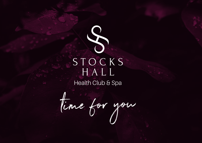

time for you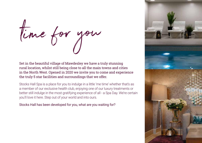time for you

Set in the beautiful village of Mawdesley we have a truly stunning rural location, whilst still being close to all the main towns and cities in the North West. Opened in 2020 we invite you to come and experience the truly 5 star facilities and surroundings that we offer.

Stocks Hall Spa is a place for you to indulge in a little 'me time' whether that's as a member of our exclusive health club, enjoying one of our luxury treatments or better still indulge in the most gratifying experience of all - a Spa Day. We're certain you'll love it here. Step out of your world and into ours.

Stocks Hall has been developed for you, what are you waiting for?

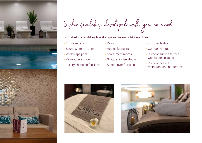

5 star facilities developed with you in mind

# Our fabulous facilities boast a spa experience like no other.

- » 16 metre pool
- » Sauna & steam room
- » Vitality spa pool
- » Relaxation lounge
- » Luxury changing facilities
- » Rasul
- » Heated loungers
- » 5 treatment rooms
- » Group exercise studio
- » Superb gym facilities
- » 40 cover bistro
- » Outdoor Hot tub
- » Outdoor sunken terrace with heated seating
- » Outdoor heated restaurant and bar terrace



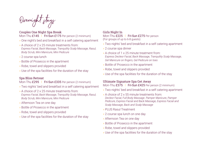Overnight stays

Couples One Night Spa Break Mon-Thu £145 l Fri-Sun £175 Per person (2 minimum)

- » One night's bed and breakfast in a self catering apartment
- » A choice of 2 x 25 minute treatments from: *Express Facial, Back Massage, Tranquility Scalp Massage, Rasul, Body Scrub, Mini Manicure, Mini Pedicure*
- » 2 course spa lunch
- » Bottle of Prosecco in the apartment
- » Robe, towel and slippers provided
- » Use of the spa facilities for the duration of the stay

## Spa Bliss Retreat

## Mon-Thu £295 | Fri-Sun £335 Per person (2 minimum)

- » Two nights' bed and breakfast in a self catering apartment
- » A choice of 2 x 25 minute treatments from: *Express Facial, Back Massage, Tranquility Scalp Massage, Rasul, Body Scrub, Mini Manicure, Mini Pedicure*
- » Afternoon Tea on one day
- » Bottle of Prosecco in the apartment
- » Robe, towel and slippers provided
- » Use of the spa facilities for the duration of the stay

## Girls Night In

## Mon-Thu £225 | Fri-Sun £275 Per person (For groups of up to 6-8 guests)

- » Two nights' bed and breakfast in a self catering apartment
- » 2 course spa dinner
- » A choice of 1 x 25 minute treatment from: *Express Decleor Facial, Back Massage, Tranquility Scalp Massage, Gel Manicure on fingers, Gel Pedicure on toes*
- » Bottle of Prosecco in the apartment
- » Robe, towel and slippers provided
- » Use of the spa facilities for the duration of the stay

# Ultimate Signature Spa Get Away

## Mon-Thu £375 l Fri-Sun £425 Per person (2 minimum)

- » Two nights' bed and breakfast in a self catering apartment
- » A choice of 2 x 55 minute treatments from: *Decleor Facial, Full Body Massage. Pamper Manicure, Pamper Pedicure, Express Facial and Back Massage, Express Facial and Scalp Massage, Back and Scalp Massage*
- » PLUS Rasul Treatment
- » 2 course spa lunch on one day
- » Afternoon Tea on one day
- » Bottle of Prosecco in the apartment
- » Robe, towel and slippers provided
- » Use of the spa facilities for the duration of the stay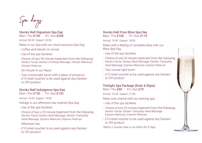Spa days

Stocks Hall Signature Spa Day Mon–Thu £190 l Fri–Sun £205

Arrival: 09:30 Depart: 20:00

Relax in our Spa with our most luxurious Spa Day;

- » Coffee and Danish on arrival
- » Use of the spa facilities
- » Choice of two 55 minute treatment from the following: *Decleor Facial, Decleor Full Body Massage, Pamper Manicure, Pamper Pedicure*
- » 30 minute in our Rasul
- » Two course light lunch with a glass of prosecco
- » £10 retail voucher to be used against any Decleor or OPI product

# Stocks Hall Indulgence Spa Day

Mon-Thu £120 | Fri-Sun £135

Arrival: 10:00 Depart: 19:00

Indulge in our afternoon tea inspired Spa Day;

- » Use of the spa facilities
- » Choice of two x 25 minute treatment from the following: *Decleor Facial, Decleor Back Massage, Decleor Tranquility Head Massage, Express Manicure, Express Pedicure*
- » Afternoon tea
- » £10 retail voucher to be used against any Decleor or OPI product

## Stocks Hall Pure Bliss Spa Day Mon–Thu £100 l Fri–Sun £115

Arrival: 10:00 Depart: 18:00

Relax with a feeling of complete bliss with our Bliss Spa Day;

- » Use of the spa facilities
- » Choice of one 25 minute treatment from the following: *Decleor Facial, Decleor Back Massage, Decleor Tranquility Head Massage, Express Manicure, Express Pedicure*
- » Two course light lunch
- » £10 retail voucher to be used against any Decleor or OPI product

#### Twilight Spa Package (from 4.30pm) Mon–Thu £60 l Fri–Sun £75

Arrival: 16:30 Depart: 21:00

Relax and unwind with our evening spa:

- » Use of the spa facilities
- » Choice of one 25 minute treatment from the following: *Decleor Facial, Decleor Tranquility Head Massage, Express Manicure, Express Pedicure*
- » £10 retail voucher to be used against any Decleor or OPI product
- \*Add a 2 course meal in our bistro for £14pp

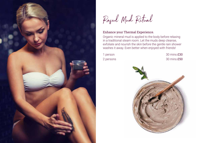



# Enhance your Thermal Experience.

Organic mineral mud is applied to the body before relaxing in a traditional steam room. Let the muds deep cleanse, exfoliate and nourish the skin before the gentle rain shower washes it away. Even better when enjoyed with friends!

1 person 30 mins £30 2 persons 30 mins £50

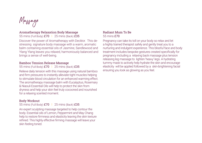Massage

# Aromatherapy Relaxation Body Massage

55 mins (Full Body) £70 | 25 mins (Back) £35

Discover the power of Aromatherapy with Decléor. This destressing signature body massage with a warm, aromatic balm containing essential oils of Jasmine, Sandlewood and Ylang Ylang leaves you relaxed, harmoniously balanced and brings a sense of well-being.

## Bamboo Tension Release Massage

55 mins (Full Body) £70 | 25 mins (Back) £35

Relieve daily tension with this massage using natural bamboo and firm pressures to instantly alleviate tight muscles helping to stimulate blood circulation for an enhanced warming effect. The aromatherapy massage balm with Eucalyptus, Rosemary & Niaouli Essential Oils will help to protect the skin from dryness and help your skin feel truly cocooned and nourished for a relaxing scented moment.

# Body Workout

55 mins (Full Body) £70 | 25 mins (Back) £35

An expert sculpting massage targeted to help contour the body. Essential oils of Lemon, Peppermint and May Chang help to restore firmness and elasticity leaving the skin texture refined. This highly effective firming massage will leave your skin feeling toned.

## Radiant Mum To Be 55 mins £70

Pregnancy can take its toll on your body so relax and let a highly trained therapist safely and gently treat you to a nurturing and indulgent experience. This blissful face and body treatment includes bespoke gestures created specifically for pregnancy including a relaxing back massage plus tension releasing leg massage to lighten 'heavy' legs. A hydrating tummy mask to actively help hydrate the skin and encourage elasticity will be applied followed by a skin-brightening facial ensuring you look as glowing as you feel.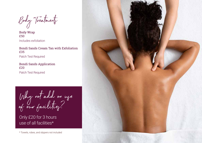Body Treatments

Body Wrap £50 Includes exfoliation

Bondi Sands Cream Tan with Exfoliation £35 Patch Test Required

Bondi Sands Application £20 Patch Test Required

Why not add on use of our facilities?

Only £20 for 3 hours use of all facilities\*

\* Towels, robes, and slippers not included

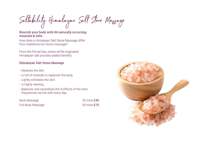Saltability Himalayan Salt Stone Massage

# Nourish your body with 84 naturally occurring minerals & salts.

How does a Himalayan Salt Stone Massage differ from traditional hot stone massage?

From the Primal Sea, where all life originated, Himalayan salt provides added benefits.

# Himalayan Salt Stone Massage

- » Alkalizes the skin
- » Is full of minerals to replenish the body
- » Lightly exfoliates the skin
- » Is highly relaxing
- » Balances and neutralizes the ill effects of the toxic frequencies we live with every day.

Back Massage 25 mins £40 Full Body Massage 55 mins £70

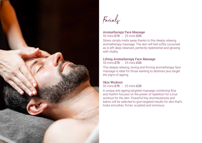

Facials

## Aromatherapy Face Massage 55 mins £70 l 25 mins £35

Stress simply melts away thanks to this deeply relaxing aromatherapy massage. The skin will feel softly cocooned as is left deep cleansed, perfectly replenished and glowing with vitality.

#### Lifting Aromatherapy Face Massage 55 mins £70 l 25 mins £35

This deeply relaxing, toning and firming aromatherapy face massage is ideal for those wanting to destress plus target the signs of ageing.

### Skin Workout 55 mins £70 l 25 mins £35

A unique anti ageing targeted massage combining flow and rhythm focuses on the power of repetition for a true workout for the skin. Powerful Key Aromessences and balms will be selected to give targeted results for skin that's looks smoother, firmer, sculpted and luminous.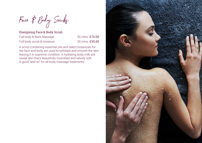Face & Body Scruby

Energising Face & Body Scrub Full body & Back Massage 55 mins £70.00 Full body scrub & moisture 35 mins £35.00

A scrub combining essential oils and select botanicals for the face and body are used to exfoliate and smooth the skin leaving it in supreme condition. A hydrating body milk will reveal skin that's beautifully nourished and velvety soft. A good "add on" for all body massage treatments.

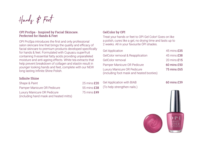Hands & Feet

## OPI ProSpa - Inspired by Facial Skincare. Perfected for Hands & Feet

OPI ProSpa introduces the first and only professional salon skincare line that brings the quality and efficacy of facial skincare to premium products developed specifically for hands & feet. Formulated with Cupuacu superfruit containing 9 essential fatty acids providing unparalleled moisture and anti-ageing effects. White tea extracts that help prevent breakdown of collagen and elastin result in younger looking hands and feet, complete with our NEW long lasting Infinite Shine Polish.

# GelColor by OPI

Treat your hands or feet to OPI Gel Color! Goes on like a polish, cures like a gel, no drying time and lasts up to 2 weeks. All in your favourite OPI shades.

| <b>Gel Application</b>                                                  | 45 mins £35 |
|-------------------------------------------------------------------------|-------------|
| <b>GelColor removal &amp; Reapplication</b>                             | 45 mins £38 |
| GelColor removal                                                        | 20 mins £15 |
| Pamper Manicure OR Pedicure                                             | 60 mins £50 |
| Luxury Manicure OR Pedicure<br>(including foot mask and heated booties) | 75 mins £65 |

# Infinite Shine

| Shape & Paint                          |
|----------------------------------------|
| Pamper Manicure OR Pedicure            |
| Luxury Manicure OR Pedicure            |
| (including hand mask and heated mitts) |

 $25$  mins  $f20$ 55 mins £38  $75$  mins  $f49$  Gel Application with BIAB 60 mins £39 (To help strengthen nails.)

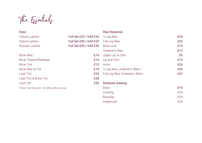The Essentials

| Eyes                                           |                           | Hair Removal                   |     |
|------------------------------------------------|---------------------------|--------------------------------|-----|
| Classic Lashes                                 | Full Set £35 / Infill £20 | $\frac{1}{2}$ Leg Wax          | £26 |
| <b>Hybrid Lashes</b>                           | Full Set £40 / Infill £25 | Full Leg Wax                   | £32 |
| <b>Russian Lashes</b>                          | Full Set £45 / Infill £30 | <b>Bikini Line</b>             | £19 |
|                                                |                           | Underarm Wax                   | £12 |
| <b>Brow Wax</b>                                | £14                       | Upper Lip or Chin              | £9  |
| Brow Tweeze/Reshape                            | £14                       | Lip and Chin                   | £14 |
| <b>Brow Tint</b>                               | £12                       | Arms                           | £26 |
| Brow Wax & Tint                                | £19                       | 1/2 Leg Wax, Underarm, Bikini  | £42 |
| Lash Tint                                      | £24                       | Full Leg Wax, Underarm, Bikini | £47 |
| Lash Tint & Brow Tint                          | £28                       |                                |     |
| Lash Lift*                                     | £30                       | Intimate waxing                |     |
| *Patch Test Required - 24-48hrs before arrival |                           | <b>Bikini</b>                  | £19 |
|                                                |                           | G-string                       | £25 |
|                                                |                           | <b>Brazilian</b>               | £29 |
|                                                |                           | Hollywood                      | £35 |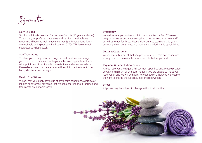Information

#### How To Book

Stocks Hall Spa is reserved for the use of adults (16 years and over). To ensure your preferred date, time and service is available we recommend booking well in advance. Our Spa Reservations Team are available during our opening hours on 01704 778060 or email spa@stockshallspa.co.uk

#### Spa Treatments

To allow you to fully relax prior to your treatment, we encourage you to arrive 10 minutes prior to your scheduled appointment time. All appointment times include consultations and aftercare advice. Please be advised that late arrivals will result in the treatment time being shortened accordingly.

#### Health Conditions

We ask that you kindly advise us of any health conditions, allergies or injuries prior to your arrival so that we can ensure that our facilities and treatments are suitable for you.

#### **Pregnancy**

We welcome expectant mums into our spa after the first 12 weeks of pregnancy. We strongly advise against using any extreme heat and/ or hydrotherapy facilities. Please allow our spa team to guide you in selecting which treatments are most suitable during this special time.

#### Terms & Conditions

We respectfully request that you peruse our full terms and conditions, a copy of which is available on our website, before you visit.

#### Payment & Cancellation Policy

All spa reservations require full payment upon booking. Please provide us with a minimum of 24 hours' notice if you are unable to make your reservation and we will be happy to reschedule. Otherwise we reserve the right to charge the full amount of the reservation.

#### Prices

All prices may be subject to change without prior notice.

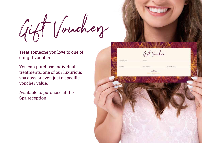Gift Vouchery

Treat someone you love to one of our gift vouchers.

You can purchase individual treatments, one of our luxurious spa days or even just a specific voucher value.

Available to purchase at the Spa reception.